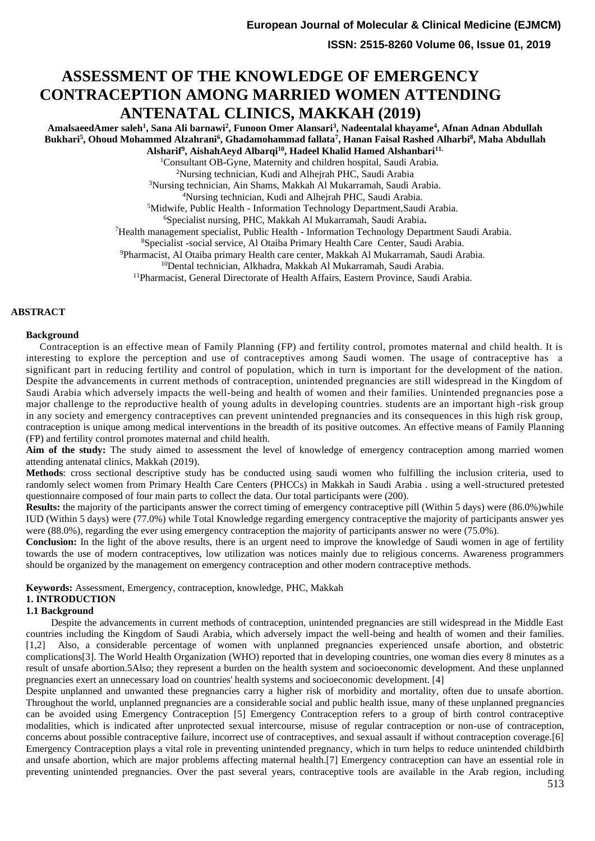**ISSN: 2515-8260 Volume 06, Issue 01, 2019**

# **ASSESSMENT OF THE KNOWLEDGE OF EMERGENCY CONTRACEPTION AMONG MARRIED WOMEN ATTENDING ANTENATAL CLINICS, MAKKAH (2019)**

**AmalsaeedAmer saleh<sup>1</sup> , Sana Ali barnawi<sup>2</sup> , Funoon Omer Alansari<sup>3</sup> , Nadeentalal khayame<sup>4</sup> , Afnan Adnan Abdullah Bukhari<sup>5</sup> , Ohoud Mohammed Alzahrani<sup>6</sup> , Ghadamohammad fallata<sup>7</sup> , Hanan Faisal Rashed Alharbi<sup>8</sup> , Maha Abdullah Alsharif<sup>9</sup> , AishahAeyd Albarqi<sup>10</sup>, Hadeel Khalid Hamed Alshanbari11.**

<sup>1</sup>Consultant OB-Gyne, Maternity and children hospital, Saudi Arabia.

<sup>2</sup>Nursing technician, Kudi and Alhejrah PHC, Saudi Arabia

<sup>3</sup>Nursing technician, Ain Shams, Makkah Al Mukarramah, Saudi Arabia.

<sup>4</sup>Nursing technician, Kudi and Alhejrah PHC, Saudi Arabia.

<sup>5</sup>Midwife, Public Health - Information Technology Department,Saudi Arabia.

<sup>6</sup>Specialist nursing, PHC, Makkah Al Mukarramah, Saudi Arabia**.**

<sup>7</sup>Health management specialist, Public Health - Information Technology Department Saudi Arabia.

<sup>8</sup>Specialist -social service, Al Otaiba Primary Health Care Center, Saudi Arabia.

<sup>9</sup>Pharmacist, Al Otaiba primary Health care center, Makkah Al Mukarramah, Saudi Arabia.

<sup>10</sup>Dental technician, Alkhadra, Makkah Al Mukarramah, Saudi Arabia.

<sup>11</sup>Pharmacist, General Directorate of Health Affairs, Eastern Province, Saudi Arabia.

#### **ABSTRACT**

#### **Background**

 Contraception is an effective mean of Family Planning (FP) and fertility control, promotes maternal and child health. It is interesting to explore the perception and use of contraceptives among Saudi women. The usage of contraceptive has a significant part in reducing fertility and control of population, which in turn is important for the development of the nation. Despite the advancements in current methods of contraception, unintended pregnancies are still widespread in the Kingdom of Saudi Arabia which adversely impacts the well-being and health of women and their families. Unintended pregnancies pose a major challenge to the reproductive health of young adults in developing countries. students are an important high -risk group in any society and emergency contraceptives can prevent unintended pregnancies and its consequences in this high risk group, contraception is unique among medical interventions in the breadth of its positive outcomes. An effective means of Family Planning (FP) and fertility control promotes maternal and child health.

Aim of the study: The study aimed to assessment the level of knowledge of emergency contraception among married women attending antenatal clinics, Makkah (2019).

**Methods**: cross sectional descriptive study has be conducted using saudi women who fulfilling the inclusion criteria, used to randomly select women from Primary Health Care Centers (PHCCs) in Makkah in Saudi Arabia . using a well-structured pretested questionnaire composed of four main parts to collect the data. Our total participants were (200).

**Results:** the majority of the participants answer the correct timing of emergency contraceptive pill (Within 5 days) were (86.0%)while IUD (Within 5 days) were (77.0%) while Total Knowledge regarding emergency contraceptive the majority of participants answer yes were (88.0%), regarding the ever using emergency contraception the majority of participants answer no were (75.0%).

**Conclusion:** In the light of the above results, there is an urgent need to improve the knowledge of Saudi women in age of fertility towards the use of modern contraceptives, low utilization was notices mainly due to religious concerns. Awareness programmers should be organized by the management on emergency contraception and other modern contraceptive methods.

**Keywords:** Assessment, Emergency, contraception, knowledge, PHC, Makkah

## **1. INTRODUCTION**

### **1.1 Background**

 Despite the advancements in current methods of contraception, unintended pregnancies are still widespread in the Middle East countries including the Kingdom of Saudi Arabia, which adversely impact the well-being and health of women and their families. [1,2] Also, a considerable percentage of women with unplanned pregnancies experienced unsafe abortion, and obstetric complications[3]. The World Health Organization (WHO) reported that in developing countries, one woman dies every 8 minutes as a result of unsafe abortion.5Also; they represent a burden on the health system and socioeconomic development. And these unplanned pregnancies exert an unnecessary load on countries' health systems and socioeconomic development. [4]

Despite unplanned and unwanted these pregnancies carry a higher risk of morbidity and mortality, often due to unsafe abortion. Throughout the world, unplanned pregnancies are a considerable social and public health issue, many of these unplanned pregnancies can be avoided using Emergency Contraception [5] Emergency Contraception refers to a group of birth control contraceptive modalities, which is indicated after unprotected sexual intercourse, misuse of regular contraception or non-use of contraception, concerns about possible contraceptive failure, incorrect use of contraceptives, and sexual assault if without contraception coverage.[6] Emergency Contraception plays a vital role in preventing unintended pregnancy, which in turn helps to reduce unintended childbirth and unsafe abortion, which are major problems affecting maternal health.[7] Emergency contraception can have an essential role in preventing unintended pregnancies. Over the past several years, contraceptive tools are available in the Arab region, including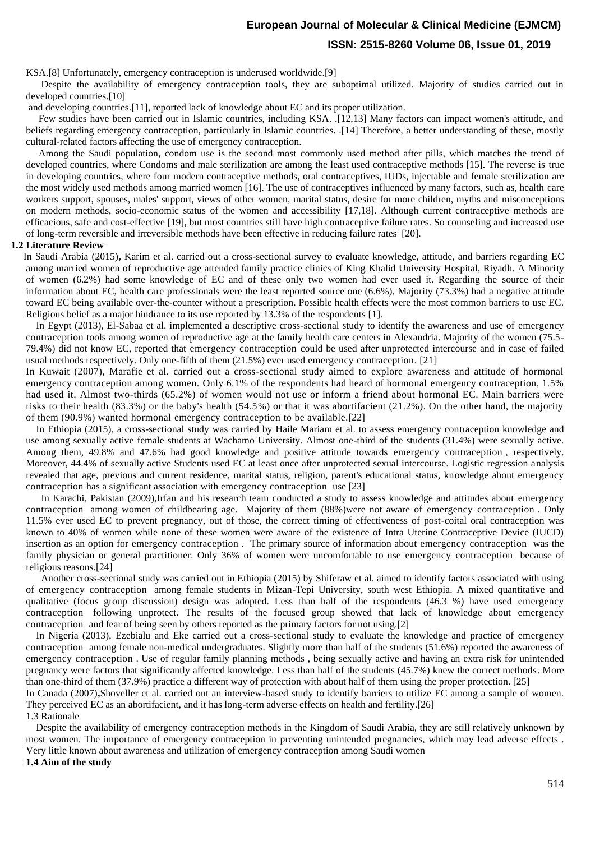KSA.[8] Unfortunately, emergency contraception is underused worldwide.[9]

 Despite the availability of emergency contraception tools, they are suboptimal utilized. Majority of studies carried out in developed countries.[10]

and developing countries.[11], reported lack of knowledge about EC and its proper utilization.

Few studies have been carried out in Islamic countries, including KSA. .[12,13] Many factors can impact women's attitude, and beliefs regarding emergency contraception, particularly in Islamic countries. .[14] Therefore, a better understanding of these, mostly cultural-related factors affecting the use of emergency contraception.

 Among the Saudi population, condom use is the second most commonly used method after pills, which matches the trend of developed countries, where Condoms and male sterilization are among the least used contraceptive methods [15]. The reverse is true in developing countries, where four modern contraceptive methods, oral contraceptives, IUDs, injectable and female sterilization are the most widely used methods among married women [16]. The use of contraceptives influenced by many factors, such as, health care workers support, spouses, males' support, views of other women, marital status, desire for more children, myths and misconceptions on modern methods, socio-economic status of the women and accessibility [17,18]. Although current contraceptive methods are efficacious, safe and cost-effective [19], but most countries still have high contraceptive failure rates. So counseling and increased use of long-term reversible and irreversible methods have been effective in reducing failure rates [20].

#### **1.2 Literature Review**

 In Saudi Arabia (2015)**,** Karim et al. carried out a cross-sectional survey to evaluate knowledge, attitude, and barriers regarding EC among married women of reproductive age attended family practice clinics of King Khalid University Hospital, Riyadh. A Minority of women (6.2%) had some knowledge of EC and of these only two women had ever used it. Regarding the source of their information about EC, health care professionals were the least reported source one (6.6%), Majority (73.3%) had a negative attitude toward EC being available over-the-counter without a prescription. Possible health effects were the most common barriers to use EC. Religious belief as a major hindrance to its use reported by 13.3% of the respondents [1].

 In Egypt (2013), El-Sabaa et al. implemented a descriptive cross-sectional study to identify the awareness and use of emergency contraception tools among women of reproductive age at the family health care centers in Alexandria. Majority of the women (75.5- 79.4%) did not know EC, reported that emergency contraception could be used after unprotected intercourse and in case of failed usual methods respectively. Only one-fifth of them (21.5%) ever used emergency contraception. [21]

In Kuwait (2007), Marafie et al. carried out a cross-sectional study aimed to explore awareness and attitude of hormonal emergency contraception among women. Only 6.1% of the respondents had heard of hormonal emergency contraception, 1.5% had used it. Almost two-thirds (65.2%) of women would not use or inform a friend about hormonal EC. Main barriers were risks to their health (83.3%) or the baby's health (54.5%) or that it was abortifacient (21.2%). On the other hand, the majority of them (90.9%) wanted hormonal emergency contraception to be available.[22]

 In Ethiopia (2015), a cross-sectional study was carried by Haile Mariam et al. to assess emergency contraception knowledge and use among sexually active female students at Wachamo University. Almost one-third of the students (31.4%) were sexually active. Among them, 49.8% and 47.6% had good knowledge and positive attitude towards emergency contraception , respectively. Moreover, 44.4% of sexually active Students used EC at least once after unprotected sexual intercourse. Logistic regression analysis revealed that age, previous and current residence, marital status, religion, parent's educational status, knowledge about emergency contraception has a significant association with emergency contraception use [23]

 In Karachi, Pakistan (2009),Irfan and his research team conducted a study to assess knowledge and attitudes about emergency contraception among women of childbearing age. Majority of them (88%)were not aware of emergency contraception. Only 11.5% ever used EC to prevent pregnancy, out of those, the correct timing of effectiveness of post-coital oral contraception was known to 40% of women while none of these women were aware of the existence of Intra Uterine Contraceptive Device (IUCD) insertion as an option for emergency contraception . The primary source of information about emergency contraception was the family physician or general practitioner. Only 36% of women were uncomfortable to use emergency contraception because of religious reasons.[24]

 Another cross-sectional study was carried out in Ethiopia (2015) by Shiferaw et al. aimed to identify factors associated with using of emergency contraception among female students in Mizan-Tepi University, south west Ethiopia. A mixed quantitative and qualitative (focus group discussion) design was adopted. Less than half of the respondents (46.3 %) have used emergency contraception following unprotect. The results of the focused group showed that lack of knowledge about emergency contraception and fear of being seen by others reported as the primary factors for not using.[2]

 In Nigeria (2013), [Ezebialu](https://www.ncbi.nlm.nih.gov/pubmed/?term=Ezebialu%20I%5BAuthor%5D&cauthor=true&cauthor_uid=24380005) and [Eke](https://www.ncbi.nlm.nih.gov/pubmed/?term=Eke%20A%5BAuthor%5D&cauthor=true&cauthor_uid=24380005) carried out a cross-sectional study to evaluate the knowledge and practice of emergency contraception among female non-medical undergraduates. Slightly more than half of the students (51.6%) reported the awareness of emergency contraception . Use of regular family planning methods , being sexually active and having an extra risk for unintended pregnancy were factors that significantly affected knowledge. Less than half of the students (45.7%) knew the correct methods. More than one-third of them (37.9%) practice a different way of protection with about half of them using the proper protection. [25]

In Canada (2007)**,**Shoveller et al. carried out an interview-based study to identify barriers to utilize EC among a sample of women. They perceived EC as an abortifacient, and it has long-term adverse effects on health and fertility.[26]

1.3 Rationale

 Despite the availability of emergency contraception methods in the Kingdom of Saudi Arabia, they are still relatively unknown by most women. The importance of emergency contraception in preventing unintended pregnancies, which may lead adverse effects . Very little known about awareness and utilization of emergency contraception among Saudi women

**1.4 Aim of the study**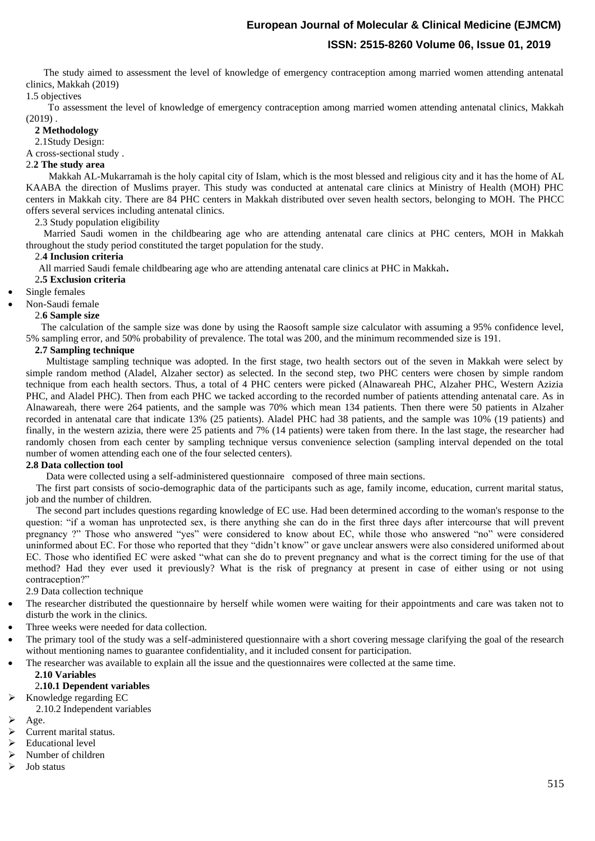The study aimed to assessment the level of knowledge of emergency contraception among married women attending antenatal clinics, Makkah (2019)

## 1.5 objectives

 To assessment the level of knowledge of emergency contraception among married women attending antenatal clinics, Makkah  $(2019)$ .

### **2 Methodology**

2.1Study Design:

A cross-sectional study .

## 2.**2 The study area**

 Makkah AL-Mukarramah is the holy capital city of Islam, which is the most blessed and religious city and it has the home of AL KAABA the direction of Muslims prayer. This study was conducted at antenatal care clinics at Ministry of Health (MOH) PHC centers in Makkah city. There are 84 PHC centers in Makkah distributed over seven health sectors, belonging to MOH. The PHCC offers several services including antenatal clinics.

2.3 Study population eligibility

 Married Saudi women in the childbearing age who are attending antenatal care clinics at PHC centers, MOH in Makkah throughout the study period constituted the target population for the study.

### 2.**4 Inclusion criteria**

All married Saudi female childbearing age who are attending antenatal care clinics at PHC in Makkah**.**

### 2**.5 Exclusion criteria**

Single females

#### • Non-Saudi female

2.**6 Sample size**

 The calculation of the sample size was done by using the Raosoft sample size calculator with assuming a 95% confidence level, 5% sampling error, and 50% probability of prevalence. The total was 200, and the minimum recommended size is 191.

#### **2.7 Sampling technique**

 Multistage sampling technique was adopted. In the first stage, two health sectors out of the seven in Makkah were select by simple random method (Aladel, Alzaher sector) as selected. In the second step, two PHC centers were chosen by simple random technique from each health sectors. Thus, a total of 4 PHC centers were picked (Alnawareah PHC, Alzaher PHC, Western Azizia PHC, and Aladel PHC). Then from each PHC we tacked according to the recorded number of patients attending antenatal care. As in Alnawareah, there were 264 patients, and the sample was 70% which mean 134 patients. Then there were 50 patients in Alzaher recorded in antenatal care that indicate 13% (25 patients). Aladel PHC had 38 patients, and the sample was 10% (19 patients) and finally, in the western azizia, there were 25 patients and 7% (14 patients) were taken from there. In the last stage, the researcher had randomly chosen from each center by sampling technique versus convenience selection (sampling interval depended on the total number of women attending each one of the four selected centers).

#### **2.8 Data collection tool**

Data were collected using a self-administered questionnaire composed of three main sections.

 The first part consists of socio-demographic data of the participants such as age, family income, education, current marital status, job and the number of children.

 The second part includes questions regarding knowledge of EC use. Had been determined according to the woman's response to the question: "if a woman has unprotected sex, is there anything she can do in the first three days after intercourse that will prevent pregnancy ?" Those who answered "yes" were considered to know about EC, while those who answered "no" were considered uninformed about EC. For those who reported that they "didn't know" or gave unclear answers were also considered uniformed about EC. Those who identified EC were asked "what can she do to prevent pregnancy and what is the correct timing for the use of that method? Had they ever used it previously? What is the risk of pregnancy at present in case of either using or not using contraception?"

2.9 Data collection technique

- The researcher distributed the questionnaire by herself while women were waiting for their appointments and care was taken not to disturb the work in the clinics.
- Three weeks were needed for data collection.
- The primary tool of the study was a self-administered questionnaire with a short covering message clarifying the goal of the research without mentioning names to guarantee confidentiality, and it included consent for participation.
- The researcher was available to explain all the issue and the questionnaires were collected at the same time.

## **2.10 Variables**

## 2**.10.1 Dependent variables**

- $\triangleright$  Knowledge regarding EC
	- 2.10.2 Independent variables

## ➢ Age.

- ➢ Current marital status.
- ➢ Educational level
- ➢ Number of children
- ➢ Job status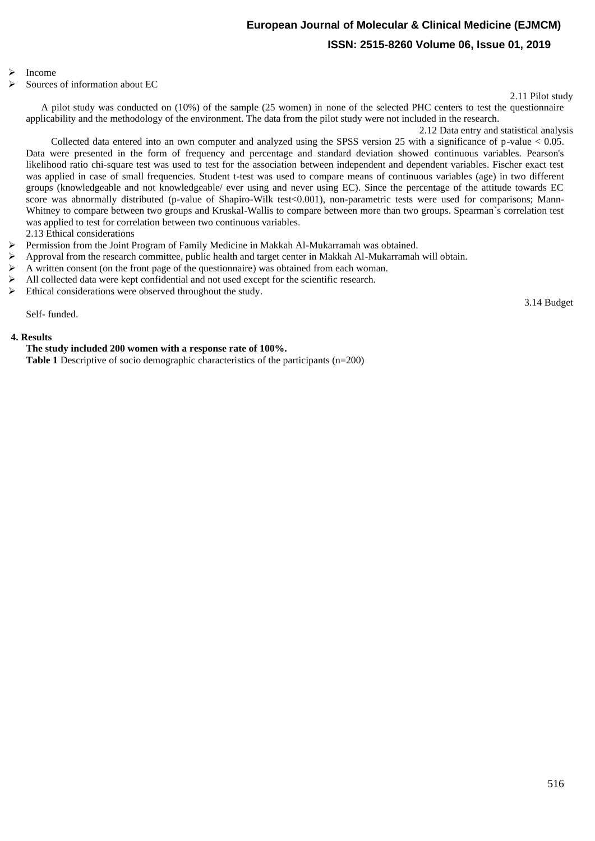#### ➢ Income

➢ Sources of information about EC

2.11 Pilot study

3.14 Budget

 A pilot study was conducted on (10%) of the sample (25 women) in none of the selected PHC centers to test the questionnaire applicability and the methodology of the environment. The data from the pilot study were not included in the research.

2.12 Data entry and statistical analysis

 Collected data entered into an own computer and analyzed using the SPSS version 25 with a significance of p-value < 0.05. Data were presented in the form of frequency and percentage and standard deviation showed continuous variables. Pearson's likelihood ratio chi-square test was used to test for the association between independent and dependent variables. Fischer exact test was applied in case of small frequencies. Student t-test was used to compare means of continuous variables (age) in two different groups (knowledgeable and not knowledgeable/ ever using and never using EC). Since the percentage of the attitude towards EC score was abnormally distributed (p-value of Shapiro-Wilk test < 0.001), non-parametric tests were used for comparisons; Mann-Whitney to compare between two groups and Kruskal-Wallis to compare between more than two groups. Spearman`s correlation test was applied to test for correlation between two continuous variables.

2.13 Ethical considerations

- ➢ Permission from the Joint Program of Family Medicine in Makkah Al-Mukarramah was obtained.
- ➢ Approval from the research committee, public health and target center in Makkah Al-Mukarramah will obtain.
- $\triangleright$  A written consent (on the front page of the questionnaire) was obtained from each woman.
- ➢ All collected data were kept confidential and not used except for the scientific research.
- ➢ Ethical considerations were observed throughout the study.

Self- funded.

### **4. Results**

## **The study included 200 women with a response rate of 100%.**

**Table 1** Descriptive of socio demographic characteristics of the participants (n=200)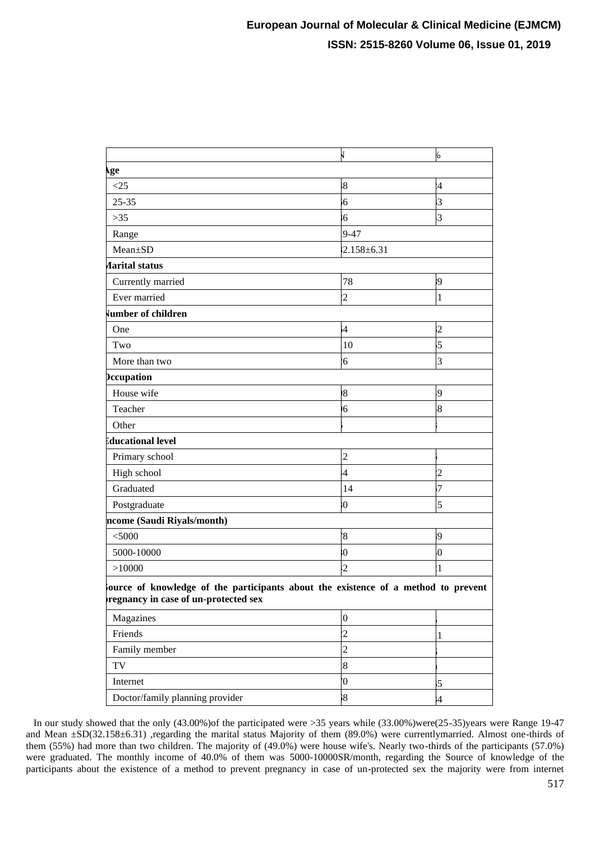|                                                                                                                           | J                | 6                       |  |  |
|---------------------------------------------------------------------------------------------------------------------------|------------------|-------------------------|--|--|
| <b>⊾ge</b>                                                                                                                |                  |                         |  |  |
| <25                                                                                                                       | $\overline{8}$   | $\overline{A}$          |  |  |
| $25 - 35$                                                                                                                 | $\overline{6}$   | $\overline{3}$          |  |  |
| $>35$                                                                                                                     | $6\phantom{.}6$  | $\overline{3}$          |  |  |
| Range                                                                                                                     | $9 - 47$         |                         |  |  |
| Mean±SD                                                                                                                   | $2.158 + 6.31$   |                         |  |  |
| <b><i>Aarital status</i></b>                                                                                              |                  |                         |  |  |
| Currently married                                                                                                         | 78               | $\overline{9}$          |  |  |
| Ever married                                                                                                              | $\overline{c}$   | $\overline{1}$          |  |  |
| vumber of children                                                                                                        |                  |                         |  |  |
| One                                                                                                                       | $\ddot{4}$       | $\overline{2}$          |  |  |
| Two                                                                                                                       | 10               | $\overline{5}$          |  |  |
| More than two                                                                                                             | $\overline{6}$   | $\overline{3}$          |  |  |
| <b>Occupation</b>                                                                                                         |                  |                         |  |  |
| House wife                                                                                                                | 8                | 9.                      |  |  |
| Teacher                                                                                                                   | 6                | $\overline{\mathbf{8}}$ |  |  |
| Other                                                                                                                     |                  |                         |  |  |
| ducational level                                                                                                          |                  |                         |  |  |
| Primary school                                                                                                            | $\overline{c}$   |                         |  |  |
| High school                                                                                                               | $\overline{4}$   | $\overline{2}$          |  |  |
| Graduated                                                                                                                 | 14               | $\overline{7}$          |  |  |
| Postgraduate                                                                                                              | $\boldsymbol{0}$ | 5                       |  |  |
| ncome (Saudi Riyals/month)                                                                                                |                  |                         |  |  |
| $<$ 5000                                                                                                                  | $\overline{8}$   | $\overline{9}$          |  |  |
| 5000-10000                                                                                                                | $\overline{0}$   | $\overline{0}$          |  |  |
| >10000                                                                                                                    | $\overline{2}$   | $\overline{1}$          |  |  |
| ource of knowledge of the participants about the existence of a method to prevent<br>regnancy in case of un-protected sex |                  |                         |  |  |
| Magazines                                                                                                                 | $\boldsymbol{0}$ |                         |  |  |
| Friends                                                                                                                   | $\overline{c}$   | 1                       |  |  |
| Family member                                                                                                             | $\overline{c}$   |                         |  |  |
| $\operatorname{TV}$                                                                                                       | 8                |                         |  |  |
| Internet                                                                                                                  | $\overline{0}$   | $\overline{5}$          |  |  |
| Doctor/family planning provider                                                                                           | $\overline{8}$   | $\frac{4}{3}$           |  |  |

 In our study showed that the only (43.00%)of the participated were >35 years while (33.00%)were(25-35)years were Range 19-47 and Mean  $\pm SD(32.158\pm 6.31)$  ,regarding the marital status Majority of them (89.0%) were currentlymarried. Almost one-thirds of them (55%) had more than two children. The majority of (49.0%) were house wife's. Nearly two-thirds of the participants (57.0%) were graduated. The monthly income of 40.0% of them was 5000-10000SR/month, regarding the Source of knowledge of the participants about the existence of a method to prevent pregnancy in case of un-protected sex the majority were from internet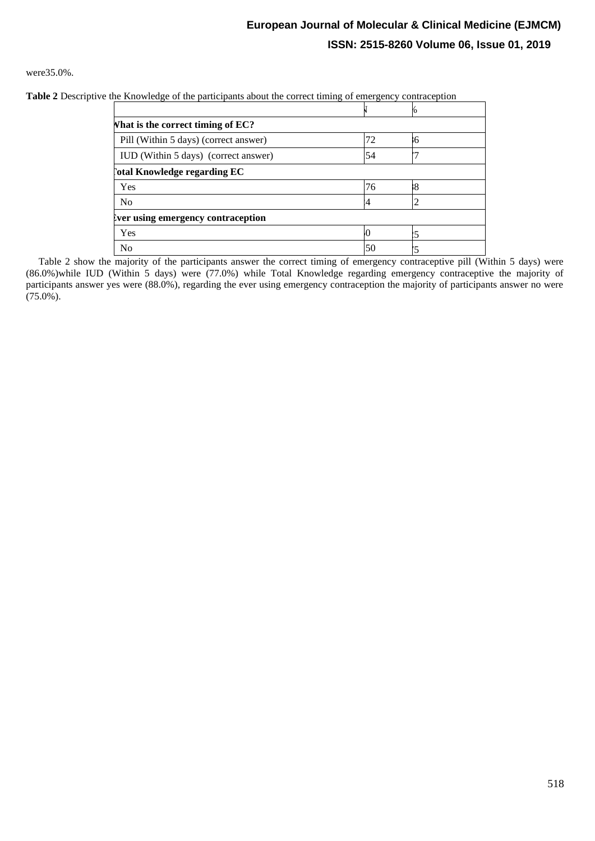were35.0%.

**Table 2** Descriptive the Knowledge of the participants about the correct timing of emergency contraception

| <b>What is the correct timing of EC?</b> |    |   |  |
|------------------------------------------|----|---|--|
| Pill (Within 5 days) (correct answer)    | 72 | 6 |  |
| IUD (Within 5 days) (correct answer)     | 54 |   |  |
| otal Knowledge regarding EC              |    |   |  |
| Yes                                      | 76 | 8 |  |
| N <sub>o</sub>                           |    |   |  |
| Ever using emergency contraception       |    |   |  |
| Yes                                      |    |   |  |
| N <sub>o</sub>                           | 50 |   |  |

 Table 2 show the majority of the participants answer the correct timing of emergency contraceptive pill (Within 5 days) were (86.0%)while IUD (Within 5 days) were (77.0%) while Total Knowledge regarding emergency contraceptive the majority of participants answer yes were (88.0%), regarding the ever using emergency contraception the majority of participants answer no were  $(75.0\%)$ .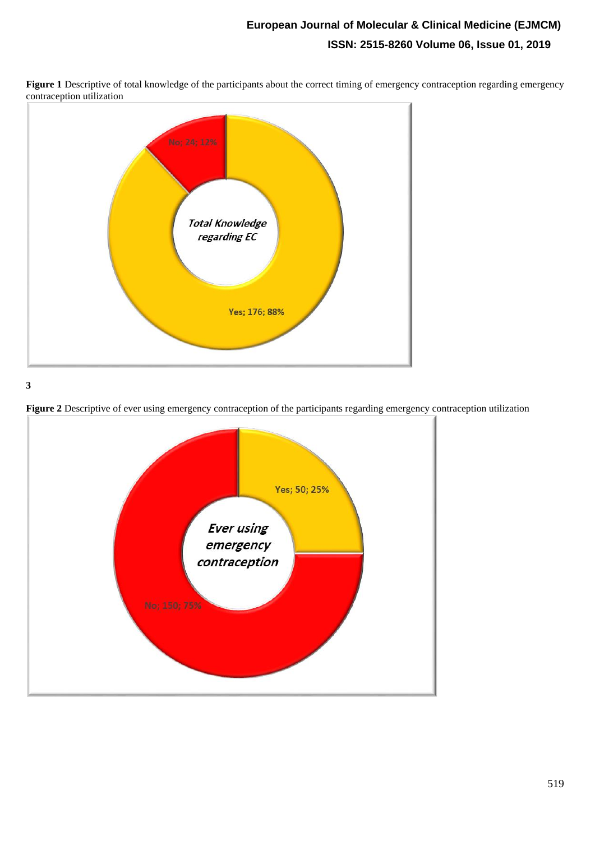

**Figure 1** Descriptive of total knowledge of the participants about the correct timing of emergency contraception regarding emergency contraception utilization

**3**



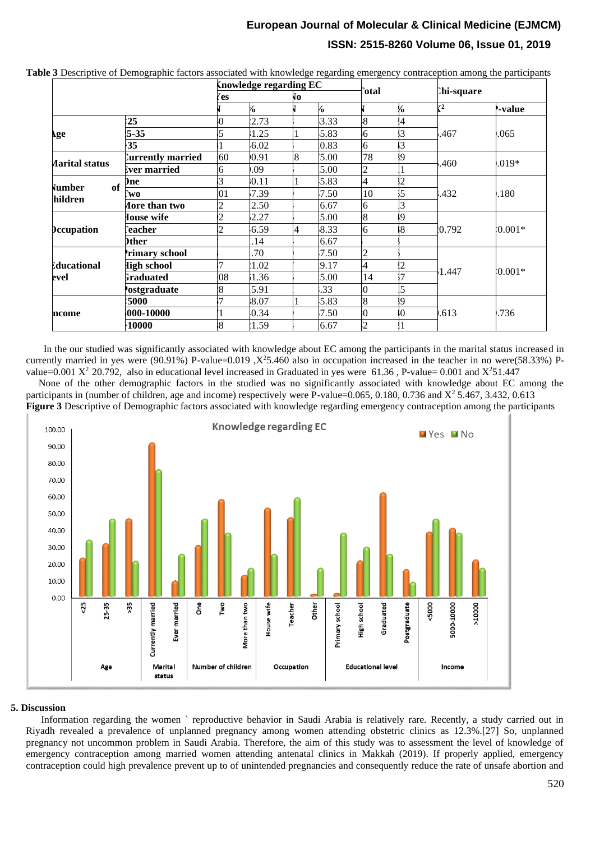|                         |                      | <b>Knowledge regarding EC</b> |      |    | lotal] |                          |   |                 |                |
|-------------------------|----------------------|-------------------------------|------|----|--------|--------------------------|---|-----------------|----------------|
|                         |                      | 'es                           |      | ÑО |        |                          |   | Chi-square      |                |
|                         |                      |                               | 6    |    | 6      |                          | 6 | $\mathcal{r}^2$ | <b>P-value</b> |
| ١ge                     | 25                   | $\Omega$                      | 2.73 |    | 3.33   | $\overline{8}$           | 4 | .467            | .065           |
|                         | $5 - 35$             | $\overline{5}$                | 1.25 |    | 5.83   | $\mathfrak{b}$           | 3 |                 |                |
|                         | $-35$                |                               | 6.02 |    | 0.83   | $\overline{6}$           | 3 |                 |                |
| Aarital status          | Currently married    | 60                            | 0.91 | 8  | 5.00   | 78                       | 9 | .460            | $.019*$        |
|                         | <b>Ever married</b>  | 6                             | .09  |    | 5.00   | $\overline{2}$           |   |                 |                |
| of<br>Vumber<br>hildren | )ne                  | 3                             | 0.11 |    | 5.83   | $\mathbf{A}$             | 2 | .432            | .180           |
|                         | `wo                  | 01                            | 7.39 |    | 7.50   | 10                       | 5 |                 |                |
|                         | <b>Aore than two</b> | $\overline{2}$                | 2.50 |    | 6.67   | 6 <sup>1</sup>           | 3 |                 |                |
| <b>Decupation</b>       | Iouse wife           | $\overline{2}$                | 2.27 |    | 5.00   | $\overline{8}$           | 9 | 0.792           | $(0.001*$      |
|                         | `eacher              | $\dot{2}$                     | 6.59 | 4  | 8.33   | 6                        | 8 |                 |                |
|                         | <b>)ther</b>         |                               | 14   |    | 6.67   |                          |   |                 |                |
| lducational<br>evel     | rimary school        |                               | .70  |    | 7.50   | $\overline{c}$           |   | 1.447           | $(0.001*$      |
|                         | <b>High school</b>   | 7                             | 1.02 |    | 9.17   | $\overline{A}$           | 2 |                 |                |
|                         | <b>Fraduated</b>     | 08                            | 1.36 |    | 5.00   | 14                       |   |                 |                |
|                         | <b>Postgraduate</b>  | 8                             | 5.91 |    | .33    | $\overline{0}$           | 5 |                 |                |
| ncome                   | :5000                |                               | 8.07 |    | 5.83   | $\overline{8}$           | 9 | .613            | .736           |
|                         | $000-10000$          |                               | 0.34 |    | 7.50   | $\overline{\phantom{0}}$ |   |                 |                |
|                         | 10000                | $\overline{8}$                | 1.59 |    | 6.67   | $\cdot$ 2                |   |                 |                |

**Table 3** Descriptive of Demographic factors associated with knowledge regarding emergency contraception among the participants

 In the our studied was significantly associated with knowledge about EC among the participants in the marital status increased in currently married in yes were (90.91%) P-value=0.019 , $X^2$ 5.460 also in occupation increased in the teacher in no were(58.33%) Pvalue=0.001  $X^2$  20.792, also in educational level increased in Graduated in yes were 61.36, P-value= 0.001 and  $X^2$ 51.447

 None of the other demographic factors in the studied was no significantly associated with knowledge about EC among the participants in (number of children, age and income) respectively were P-value=0.065, 0.180, 0.736 and  $X^2$  5.467, 3.432, 0.613 **Figure 3** Descriptive of Demographic factors associated with knowledge regarding emergency contraception among the participants



## **5. Discussion**

 Information regarding the women ` reproductive behavior in Saudi Arabia is relatively rare. Recently, a study carried out in Riyadh revealed a prevalence of unplanned pregnancy among women attending obstetric clinics as 12.3%.[27] So, unplanned pregnancy not uncommon problem in Saudi Arabia. Therefore, the aim of this study was to assessment the level of knowledge of emergency contraception among married women attending antenatal clinics in Makkah (2019). If properly applied, emergency contraception could high prevalence prevent up to of unintended pregnancies and consequently reduce the rate of unsafe abortion and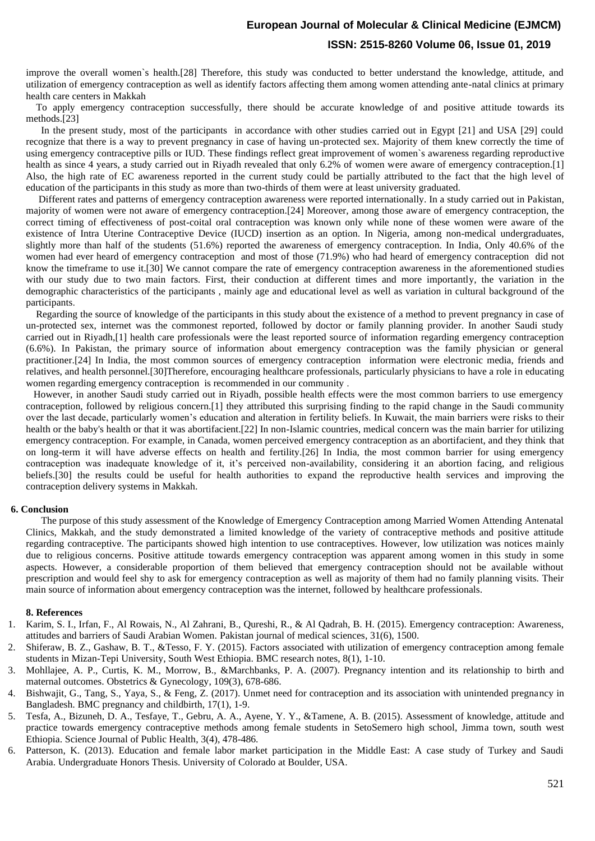## **European Journal of Molecular & Clinical Medicine (EJMCM)**

## **ISSN: 2515-8260 Volume 06, Issue 01, 2019**

improve the overall women`s health.[28] Therefore, this study was conducted to better understand the knowledge, attitude, and utilization of emergency contraception as well as identify factors affecting them among women attending ante-natal clinics at primary health care centers in Makkah

 To apply emergency contraception successfully, there should be accurate knowledge of and positive attitude towards its methods.[23]

 In the present study, most of the participants in accordance with other studies carried out in Egypt [21] and USA [29] could recognize that there is a way to prevent pregnancy in case of having un-protected sex. Majority of them knew correctly the time of using emergency contraceptive pills or IUD. These findings reflect great improvement of women`s awareness regarding reproductive health as since 4 years, a study carried out in Riyadh revealed that only 6.2% of women were aware of emergency contraception.[1] Also, the high rate of EC awareness reported in the current study could be partially attributed to the fact that the high level of education of the participants in this study as more than two-thirds of them were at least university graduated.

 Different rates and patterns of emergency contraception awareness were reported internationally. In a study carried out in Pakistan, majority of women were not aware of emergency contraception.[24] Moreover, among those aware of emergency contraception, the correct timing of effectiveness of post-coital oral contraception was known only while none of these women were aware of the existence of Intra Uterine Contraceptive Device (IUCD) insertion as an option. In Nigeria, among non-medical undergraduates, slightly more than half of the students (51.6%) reported the awareness of emergency contraception. In India, Only 40.6% of the women had ever heard of emergency contraception and most of those (71.9%) who had heard of emergency contraception did not know the timeframe to use it.[30] We cannot compare the rate of emergency contraception awareness in the aforementioned studies with our study due to two main factors. First, their conduction at different times and more importantly, the variation in the demographic characteristics of the participants , mainly age and educational level as well as variation in cultural background of the participants.

 Regarding the source of knowledge of the participants in this study about the existence of a method to prevent pregnancy in case of un-protected sex, internet was the commonest reported, followed by doctor or family planning provider. In another Saudi study carried out in Riyadh,[1] health care professionals were the least reported source of information regarding emergency contraception (6.6%). In Pakistan, the primary source of information about emergency contraception was the family physician or general practitioner.[24] In India, the most common sources of emergency contraception information were electronic media, friends and relatives, and health personnel.[30]Therefore, encouraging healthcare professionals, particularly physicians to have a role in educating women regarding emergency contraception is recommended in our community .

 However, in another Saudi study carried out in Riyadh, possible health effects were the most common barriers to use emergency contraception, followed by religious concern.[1] they attributed this surprising finding to the rapid change in the Saudi community over the last decade, particularly women's education and alteration in fertility beliefs. In Kuwait, the main barriers were risks to their health or the baby's health or that it was abortifacient.[22] In non-Islamic countries, medical concern was the main barrier for utilizing emergency contraception. For example, in Canada, women perceived emergency contraception as an abortifacient, and they think that on long-term it will have adverse effects on health and fertility.[26] In India, the most common barrier for using emergency contraception was inadequate knowledge of it, it's perceived non-availability, considering it an abortion facing, and religious beliefs.[30] the results could be useful for health authorities to expand the reproductive health services and improving the contraception delivery systems in Makkah.

#### **6. Conclusion**

 The purpose of this study assessment of the Knowledge of Emergency Contraception among Married Women Attending Antenatal Clinics, Makkah, and the study demonstrated a limited knowledge of the variety of contraceptive methods and positive attitude regarding contraceptive. The participants showed high intention to use contraceptives. However, low utilization was notices mainly due to religious concerns. Positive attitude towards emergency contraception was apparent among women in this study in some aspects. However, a considerable proportion of them believed that emergency contraception should not be available without prescription and would feel shy to ask for emergency contraception as well as majority of them had no family planning visits. Their main source of information about emergency contraception was the internet, followed by healthcare professionals.

#### **8. References**

- 1. Karim, S. I., Irfan, F., Al Rowais, N., Al Zahrani, B., Qureshi, R., & Al Qadrah, B. H. (2015). Emergency contraception: Awareness, attitudes and barriers of Saudi Arabian Women. Pakistan journal of medical sciences, 31(6), 1500.
- 2. Shiferaw, B. Z., Gashaw, B. T., &Tesso, F. Y. (2015). Factors associated with utilization of emergency contraception among female students in Mizan-Tepi University, South West Ethiopia. BMC research notes, 8(1), 1-10.
- 3. Mohllajee, A. P., Curtis, K. M., Morrow, B., &Marchbanks, P. A. (2007). Pregnancy intention and its relationship to birth and maternal outcomes. Obstetrics & Gynecology, 109(3), 678-686.
- 4. Bishwajit, G., Tang, S., Yaya, S., & Feng, Z. (2017). Unmet need for contraception and its association with unintended pregnancy in Bangladesh. BMC pregnancy and childbirth, 17(1), 1-9.
- 5. Tesfa, A., Bizuneh, D. A., Tesfaye, T., Gebru, A. A., Ayene, Y. Y., &Tamene, A. B. (2015). Assessment of knowledge, attitude and practice towards emergency contraceptive methods among female students in SetoSemero high school, Jimma town, south west Ethiopia. Science Journal of Public Health, 3(4), 478-486.
- 6. Patterson, K. (2013). Education and female labor market participation in the Middle East: A case study of Turkey and Saudi Arabia. Undergraduate Honors Thesis. University of Colorado at Boulder, USA.